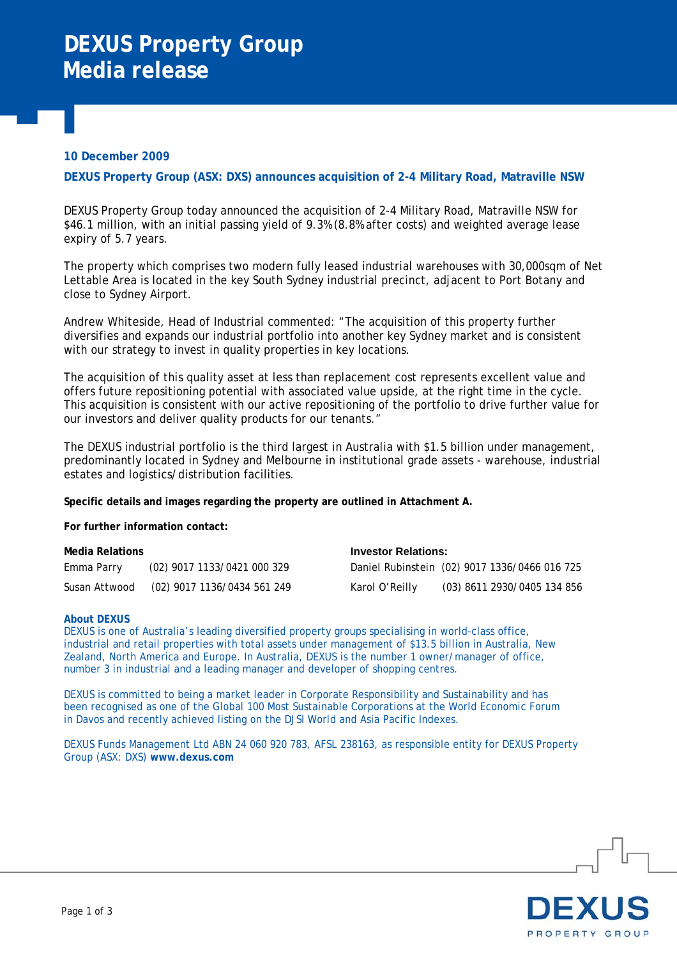#### **10 December 2009**

**DEXUS Property Group (ASX: DXS) announces acquisition of 2-4 Military Road, Matraville NSW** 

DEXUS Property Group today announced the acquisition of 2-4 Military Road, Matraville NSW for \$46.1 million, with an initial passing yield of 9.3% (8.8% after costs) and weighted average lease expiry of 5.7 years.

The property which comprises two modern fully leased industrial warehouses with 30,000sqm of Net Lettable Area is located in the key South Sydney industrial precinct, adjacent to Port Botany and close to Sydney Airport.

Andrew Whiteside, Head of Industrial commented: "The acquisition of this property further diversifies and expands our industrial portfolio into another key Sydney market and is consistent with our strategy to invest in quality properties in key locations.

The acquisition of this quality asset at less than replacement cost represents excellent value and offers future repositioning potential with associated value upside, at the right time in the cycle. This acquisition is consistent with our active repositioning of the portfolio to drive further value for our investors and deliver quality products for our tenants."

The DEXUS industrial portfolio is the third largest in Australia with \$1.5 billion under management, predominantly located in Sydney and Melbourne in institutional grade assets - warehouse, industrial estates and logistics/distribution facilities.

**Specific details and images regarding the property are outlined in Attachment A.** 

**For further information contact:**

| Media Relations |                             | <b>Investor Relations:</b> |                                               |
|-----------------|-----------------------------|----------------------------|-----------------------------------------------|
| Emma Parry      | (02) 9017 1133/0421 000 329 |                            | Daniel Rubinstein (02) 9017 1336/0466 016 725 |
| Susan Attwood   | (02) 9017 1136/0434 561 249 | Karol O'Reilly             | (03) 8611 2930/0405 134 856                   |

#### **About DEXUS**

DEXUS is one of Australia's leading diversified property groups specialising in world-class office, industrial and retail properties with total assets under management of \$13.5 billion in Australia, New Zealand, North America and Europe. In Australia, DEXUS is the number 1 owner/manager of office, number 3 in industrial and a leading manager and developer of shopping centres.

DEXUS is committed to being a market leader in Corporate Responsibility and Sustainability and has been recognised as one of the Global 100 Most Sustainable Corporations at the World Economic Forum in Davos and recently achieved listing on the DJSI World and Asia Pacific Indexes.

DEXUS Funds Management Ltd ABN 24 060 920 783, AFSL 238163, as responsible entity for DEXUS Property Group (ASX: DXS) **www.dexus.com** 

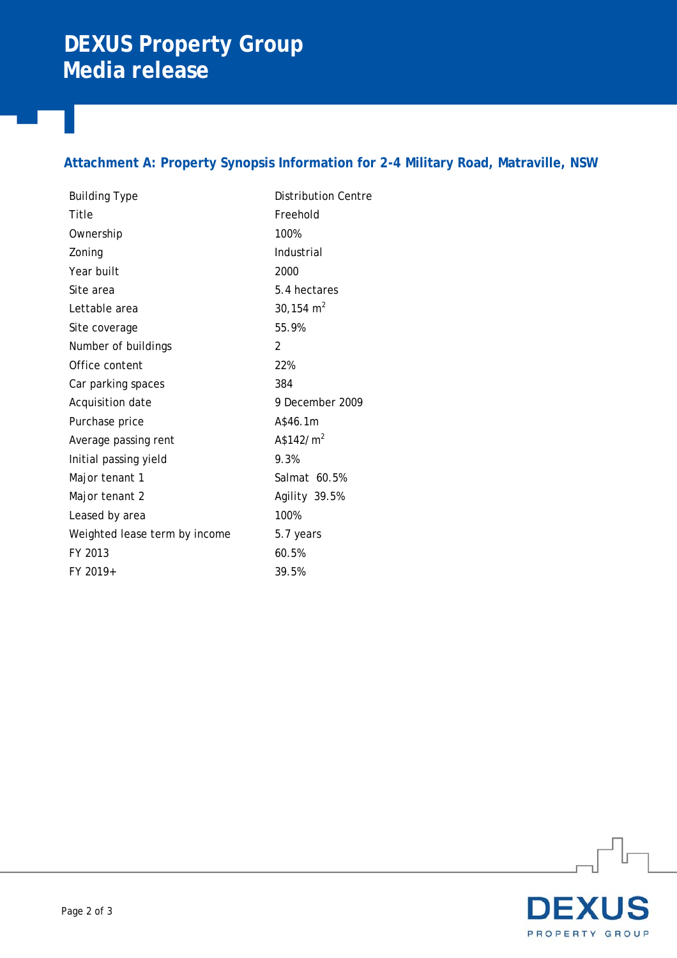## **DEXUS Property Group Media release**

### **Attachment A: Property Synopsis Information for 2-4 Military Road, Matraville, NSW**

| <b>Building Type</b>          | <b>Distribution Centre</b> |  |
|-------------------------------|----------------------------|--|
| Title                         | Freehold                   |  |
| Ownership                     | 100%                       |  |
| Zoning                        | Industrial                 |  |
| Year built                    | 2000                       |  |
| Site area                     | 5.4 hectares               |  |
| Lettable area                 | 30,154 $m2$                |  |
| Site coverage                 | 55.9%                      |  |
| Number of buildings           | $\overline{2}$             |  |
| Office content                | 22%                        |  |
| Car parking spaces            | 384                        |  |
| Acquisition date              | 9 December 2009            |  |
| Purchase price                | A\$46.1m                   |  |
| Average passing rent          | A\$142/m <sup>2</sup>      |  |
| Initial passing yield         | 9.3%                       |  |
| Major tenant 1                | Salmat 60.5%               |  |
| Major tenant 2                | Agility 39.5%              |  |
| Leased by area                | 100%                       |  |
| Weighted lease term by income | 5.7 years                  |  |
| FY 2013                       | 60.5%                      |  |
| FY 2019+                      | 39.5%                      |  |